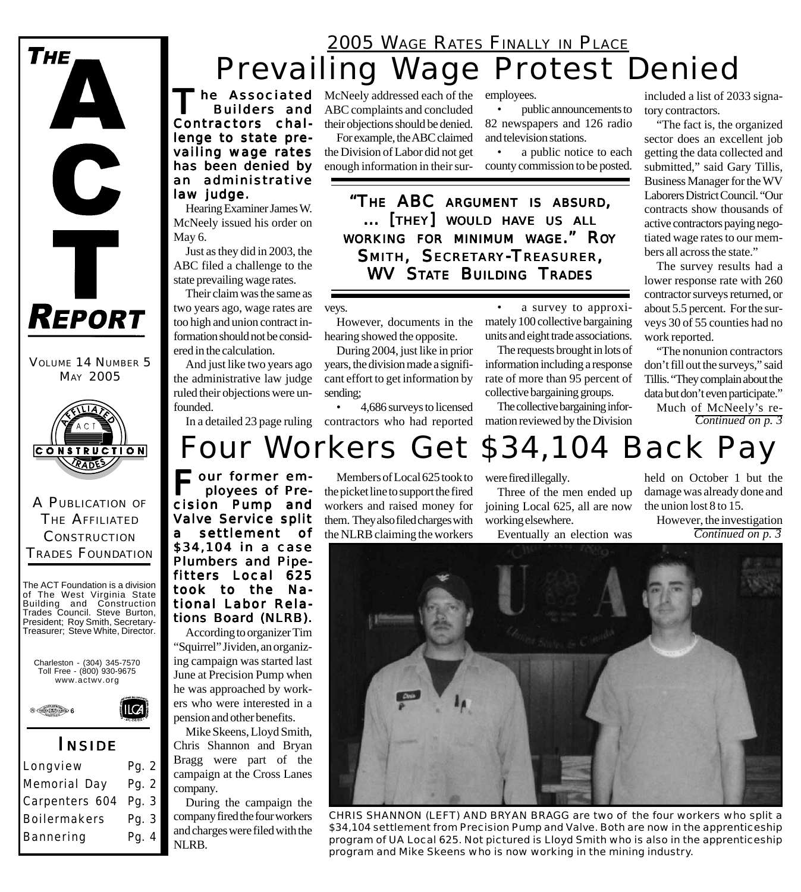### Prevailing Wage Protest Denied 2005 WAGE RATES FINALLY IN PLACE

he Associated Builders and Contractors challenge to state prevailing wage rates has been denied by an administrative law judge.

Hearing Examiner James W. McNeely issued his order on May 6.

Just as they did in 2003, the ABC filed a challenge to the state prevailing wage rates.

Their claim was the same as two years ago, wage rates are too high and union contract information should not be considered in the calculation.

And just like two years ago the administrative law judge ruled their objections were unfounded.

McNeely addressed each of the ABC complaints and concluded their objections should be denied.

For example, the ABC claimed the Division of Labor did not get enough information in their sur-

employees.

• public announcements to 82 newspapers and 126 radio and television stations.

a public notice to each county commission to be posted.

*"THE ABC ARGUMENT IS ABSURD, ... [ THEY] WOULD HAVE US ALL WORKING FOR MINIMUM WAGE." ROY SMITH, SECRETARY-TREASURER, WV STATE BUILDING TRADES*

veys.

However, documents in the hearing showed the opposite.

During 2004, just like in prior years, the division made a significant effort to get information by sending;

In a detailed 23 page ruling contractors who had reported • 4,686 surveys to licensed

a survey to approximately 100 collective bargaining units and eight trade associations.

The requests brought in lots of information including a response rate of more than 95 percent of collective bargaining groups.

The collective bargaining information reviewed by the Division included a list of 2033 signatory contractors.

"The fact is, the organized sector does an excellent job getting the data collected and submitted," said Gary Tillis, Business Manager for the WV Laborers District Council. "Our contracts show thousands of active contractors paying negotiated wage rates to our members all across the state."

The survey results had a lower response rate with 260 contractor surveys returned, or about 5.5 percent. For the surveys 30 of 55 counties had no work reported.

"The nonunion contractors don't fill out the surveys," said Tillis. "They complain about the data but don't even participate."

Much of McNeely's re-*Continued on p. 3*

# Four Workers Get \$34,104 Back Pay

our former employees of Precision Pump and Valve Service split settlement of \$34,104 in a case Plumbers and Pipefitters Local 625 took to the National Labor Relations Board (NLRB).

According to organizer Tim "Squirrel" Jividen, an organizing campaign was started last June at Precision Pump when he was approached by workers who were interested in a pension and other benefits.

Mike Skeens, Lloyd Smith, Chris Shannon and Bryan Bragg were part of the campaign at the Cross Lanes company.

During the campaign the company fired the four workers and charges were filed with the NLRB.

Members of Local 625 took to the picket line to support the fired workers and raised money for them. They also filed charges with the NLRB claiming the workers

were fired illegally.

Three of the men ended up joining Local 625, all are now working elsewhere.

Eventually an election was

held on October 1 but the damage was already done and the union lost 8 to 15.

However, the investigation *Continued on p. 3*



*CHRIS SHANNON (LEFT) AND BRYAN BRAGG are two of the four workers who split a \$34,104 settlement from Precision Pump and Valve. Both are now in the apprenticeship program of UA Local 625. Not pictured is Lloyd Smith who is also in the apprenticeship program and Mike Skeens who is now working in the mining industry.*



VOLUME 14 NUMBER 5 MAY 2005

**REPORT** 

 $\mathbf C$ 

T

Тне

A PUBLICATION OF THE AFFILIATED **CONSTRUCTION** TRADES FOUNDATION

The ACT Foundation is a division of The West Virginia State Building and Construction Trades Council. Steve Burton, President; Roy Smith, Secretary-Treasurer; Steve White, Director.





*I NSIDE*

Longview Pg. 2 Memorial Day Pg. 2 Carpenters 604 Pg. 3 Boilermakers Pg. 3 Bannering Pg. 4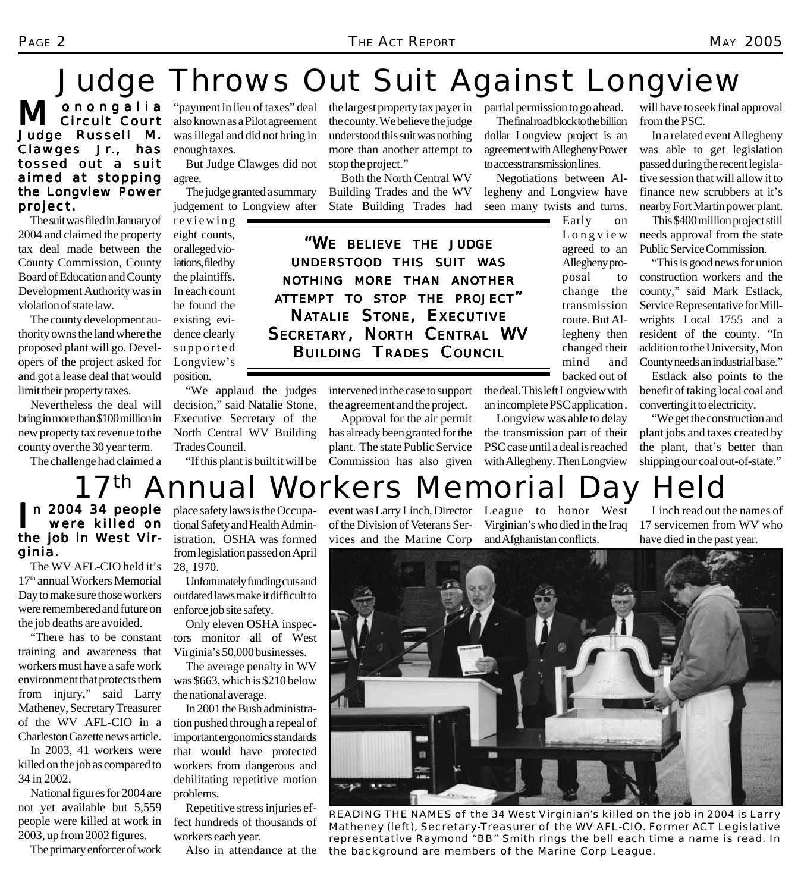# Judge Throws Out Suit Against Longview

M onongalia<br>
M Circuit Court Judge Russell M. Clawges Jr., has tossed out a suit aimed at stopping the Longview Power project.

The suit was filed in January of 2004 and claimed the property tax deal made between the County Commission, County Board of Education and County Development Authority was in violation of state law.

The county development authority owns the land where the proposed plant will go. Developers of the project asked for and got a lease deal that would limit their property taxes.

Nevertheless the deal will bring in more than \$100 million in new property tax revenue to the county over the 30 year term.

The challenge had claimed a

"payment in lieu of taxes" deal also known as a Pilot agreement was illegal and did not bring in enough taxes.

But Judge Clawges did not agree.

The judge granted a summary judgement to Longview after

reviewing eight counts, or alleged violations, filed by the plaintiffs. In each count he found the existing evidence clearly supported Longview's position.

"We applaud the judges decision," said Natalie Stone, Executive Secretary of the North Central WV Building Trades Council.

"If this plant is built it will be

the largest property tax payer in the county. We believe the judge understood this suit was nothing more than another attempt to stop the project."

Both the North Central WV Building Trades and the WV State Building Trades had

*"WE BELIEVE THE JUDGE UNDERSTOOD THIS SUIT WAS NOTHING MORE THAN ANOTHER ATTEMPT TO STOP THE PROJECT" NATALIE STONE, EXECUTIVE SECRETARY, NORTH CENTRAL WV BUILDING TRADES COUNCIL*

> intervened in the case to support the agreement and the project.

Approval for the air permit has already been granted for the plant. The state Public Service Commission has also given

partial permission to go ahead.

The final road block to the billion dollar Longview project is an agreement with Allegheny Power to access transmission lines.

Negotiations between Allegheny and Longview have seen many twists and turns.

> Early on Longview agreed to an Allegheny proposal to change the transmission route. But Allegheny then changed their mind and backed out of

the deal. This left Longview with an incomplete PSC application .

Longview was able to delay the transmission part of their PSC case until a deal is reached with Allegheny. Then Longview

will have to seek final approval from the PSC.

In a related event Allegheny was able to get legislation passed during the recent legislative session that will allow it to finance new scrubbers at it's nearby Fort Martin power plant.

This \$400 million project still needs approval from the state Public Service Commission.

"This is good news for union construction workers and the county," said Mark Estlack, Service Representative for Millwrights Local 1755 and a resident of the county. "In addition to the University, Mon County needs an industrial base."

Estlack also points to the benefit of taking local coal and converting it to electricity.

"We get the construction and plant jobs and taxes created by the plant, that's better than shipping our coal out-of-state."

## 7<sup>th</sup> Annual Workers Memorial Day Held

#### I n 2004 34 people were killed on the job in West Virginia.

The WV AFL-CIO held it's 17th annual Workers Memorial Day to make sure those workers were remembered and future on the job deaths are avoided.

"There has to be constant training and awareness that workers must have a safe work environment that protects them from injury," said Larry Matheney, Secretary Treasurer of the WV AFL-CIO in a Charleston Gazette news article.

In 2003, 41 workers were killed on the job as compared to 34 in 2002.

National figures for 2004 are not yet available but 5,559 people were killed at work in 2003, up from 2002 figures.

The primary enforcer of work

place safety laws is the Occupational Safety and Health Administration. OSHA was formed from legislation passed on April 28, 1970.

Unfortunately funding cuts and outdated laws make it difficult to enforce job site safety.

Only eleven OSHA inspectors monitor all of West Virginia's 50,000 businesses.

The average penalty in WV was \$663, which is \$210 below the national average.

In 2001 the Bush administration pushed through a repeal of important ergonomics standards that would have protected workers from dangerous and debilitating repetitive motion problems.

Repetitive stress injuries effect hundreds of thousands of workers each year.

Also in attendance at the

of the Division of Veterans Services and the Marine Corp

event was Larry Linch, Director League to honor West Virginian's who died in the Iraq and Afghanistan conflicts.

Linch read out the names of 17 servicemen from WV who have died in the past year.



*READING THE NAMES of the 34 West Virginian's killed on the job in 2004 is Larry Matheney (left), Secretary-Treasurer of the WV AFL-CIO. Former ACT Legislative representative Raymond "BB" Smith rings the bell each time a name is read. In the background are members of the Marine Corp League.*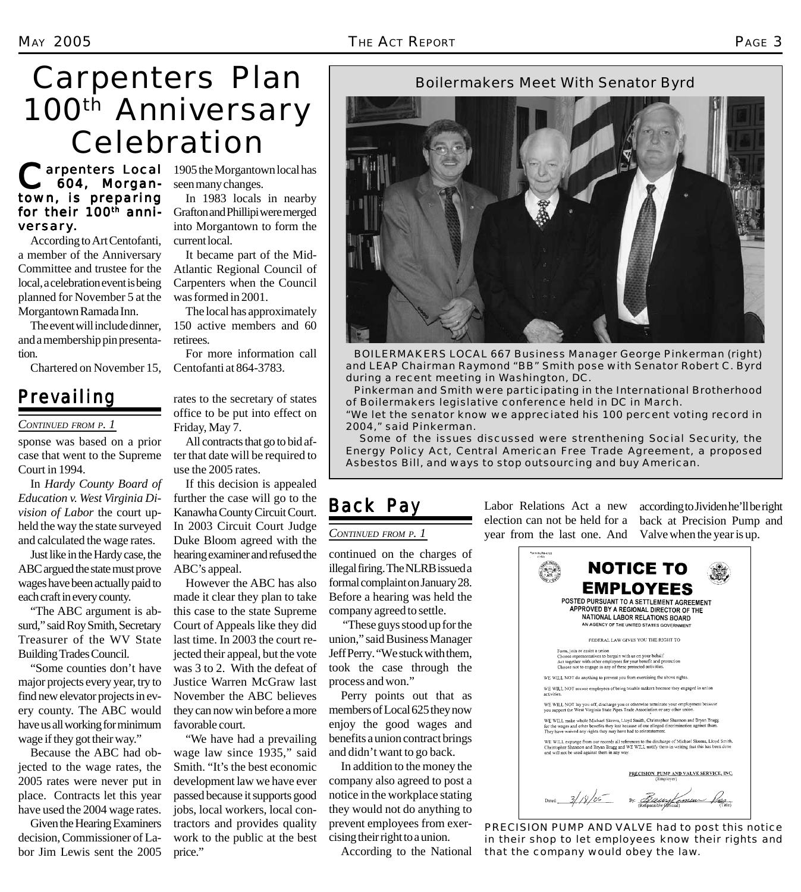continued on the charges of illegal firing. The NLRB issued a formal complaint on January 28. Before a hearing was held the company agreed to settle.

*CONTINUED FROM P. 1*

*Back Pay*

 "These guys stood up for the union," said Business Manager Jeff Perry. "We stuck with them, took the case through the

Perry points out that as members of Local 625 they now enjoy the good wages and benefits a union contract brings and didn't want to go back. In addition to the money the company also agreed to post a notice in the workplace stating they would not do anything to prevent employees from exercising their right to a union.

According to the National

process and won."

# Carpenters Plan 100<sup>th</sup> Anniversary Celebration

#### **Carpenters Local** 1905 the Morgantown local has<br> **604, Morgan-** seen many changes. 604, Morgan- 604, Morgantown, is preparing for their 100<sup>th</sup> anniversary.

According to Art Centofanti, a member of the Anniversary Committee and trustee for the local, a celebration event is being planned for November 5 at the Morgantown Ramada Inn.

The event will include dinner, and a membership pin presentation.

Chartered on November 15,

### *Prevailing*

#### *CONTINUED FROM P. 1*

sponse was based on a prior case that went to the Supreme Court in 1994.

In *Hardy County Board of Education v. West Virginia Division of Labor* the court upheld the way the state surveyed and calculated the wage rates.

Just like in the Hardy case, the ABC argued the state must prove wages have been actually paid to each craft in every county.

"The ABC argument is absurd," said Roy Smith, Secretary Treasurer of the WV State Building Trades Council.

"Some counties don't have major projects every year, try to find new elevator projects in every county. The ABC would have us all working for minimum wage if they got their way."

Because the ABC had objected to the wage rates, the 2005 rates were never put in place. Contracts let this year have used the 2004 wage rates.

Given the Hearing Examiners decision, Commissioner of Labor Jim Lewis sent the 2005 seen many changes.

Grafton and Phillipi were merged into Morgantown to form the current local.

It became part of the Mid-Atlantic Regional Council of Carpenters when the Council was formed in 2001.

The local has approximately 150 active members and 60 retirees.

For more information call Centofanti at 864-3783.

office to be put into effect on Friday, May 7.

ter that date will be required to use the 2005 rates.

If this decision is appealed further the case will go to the Kanawha County Circuit Court. In 2003 Circuit Court Judge Duke Bloom agreed with the hearing examiner and refused the ABC's appeal.

However the ABC has also made it clear they plan to take this case to the state Supreme Court of Appeals like they did last time. In 2003 the court rejected their appeal, but the vote was 3 to 2. With the defeat of Justice Warren McGraw last November the ABC believes they can now win before a more favorable court.

wage law since 1935," said Smith. "It's the best economic development law we have ever passed because it supports good jobs, local workers, local contractors and provides quality work to the public at the best price."

In 1983 locals in nearby

rates to the secretary of states

All contracts that go to bid af-

"We have had a prevailing

Labor Relations Act a new election can not be held for a year from the last one. And according to Jividen he'll be right back at Precision Pump and Valve when the year is up.



*PRECISION PUMP AND VALVE had to post this notice in their shop to let employees know their rights and that the company would obey the law.*

#### Boilermakers Meet With Senator Byrd



 *BOILERMAKERS LOCAL 667 Business Manager George Pinkerman (right) and LEAP Chairman Raymond "BB" Smith pose with Senator Robert C. Byrd during a recent meeting in Washington, DC.*

 *Pinkerman and Smith were participating in the International Brotherhood of Boilermakers legislative conference held in DC in March.*

*"We let the senator know we appreciated his 100 percent voting record in 2004," said Pinkerman.*

 *Some of the issues discussed were strenthening Social Security, the Energy Policy Act, Central American Free Trade Agreement, a proposed Asbestos Bill, and ways to stop outsourcing and buy American.*